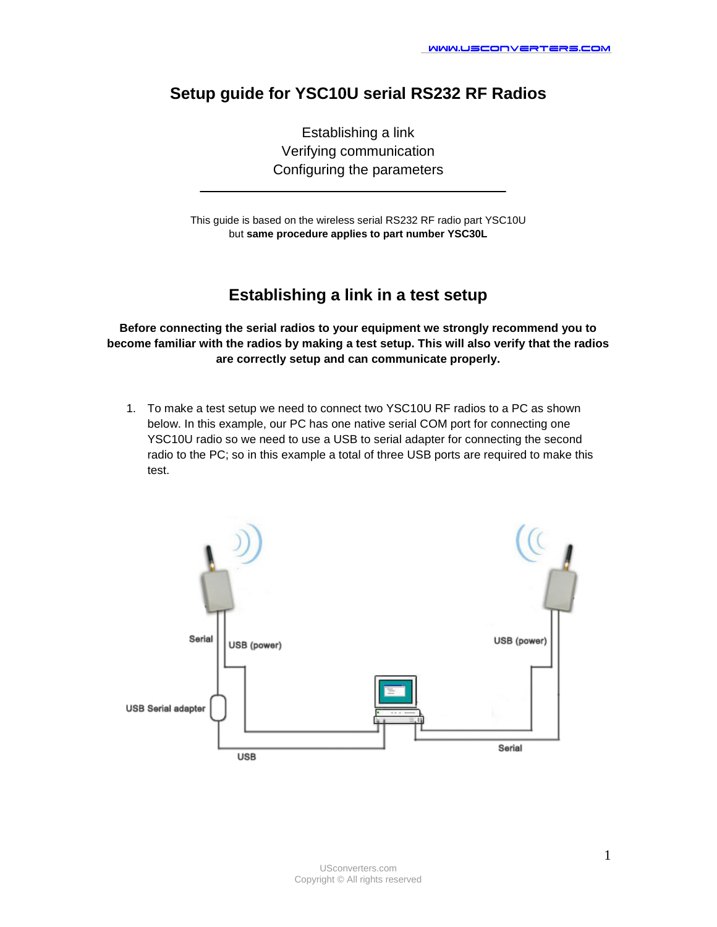# **Setup guide for YSC10U serial RS232 RF Radios**

Establishing a link Verifying communication Configuring the parameters

This guide is based on the wireless serial RS232 RF radio part YSC10U but **same procedure applies to part number YSC30L**

### **Establishing a link in a test setup**

**Before connecting the serial radios to your equipment we strongly recommend you to become familiar with the radios by making a test setup. This will also verify that the radios are correctly setup and can communicate properly.** 

1. To make a test setup we need to connect two YSC10U RF radios to a PC as shown below. In this example, our PC has one native serial COM port for connecting one YSC10U radio so we need to use a USB to serial adapter for connecting the second radio to the PC; so in this example a total of three USB ports are required to make this test.

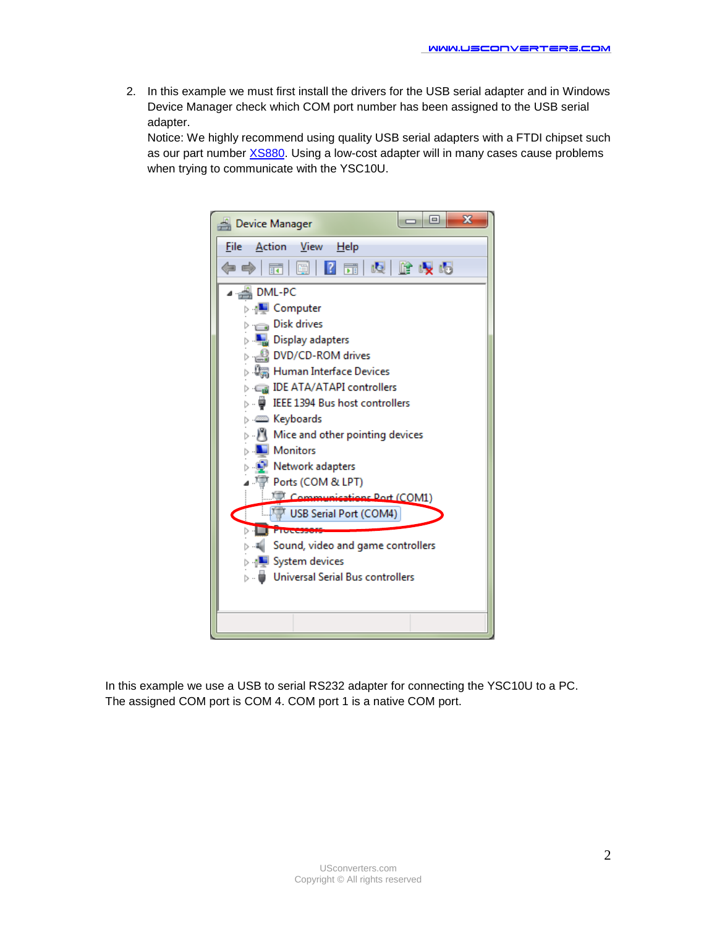2. In this example we must first install the drivers for the USB serial adapter and in Windows Device Manager check which COM port number has been assigned to the USB serial adapter.

Notice: We highly recommend using quality USB serial adapters with a FTDI chipset such as our part number [XS880.](http://www.usconverters.com/index.php?main_page=product_info&cPath=67&products_id=290) Using a low-cost adapter will in many cases cause problems when trying to communicate with the YSC10U.



In this example we use a USB to serial RS232 adapter for connecting the YSC10U to a PC. The assigned COM port is COM 4. COM port 1 is a native COM port.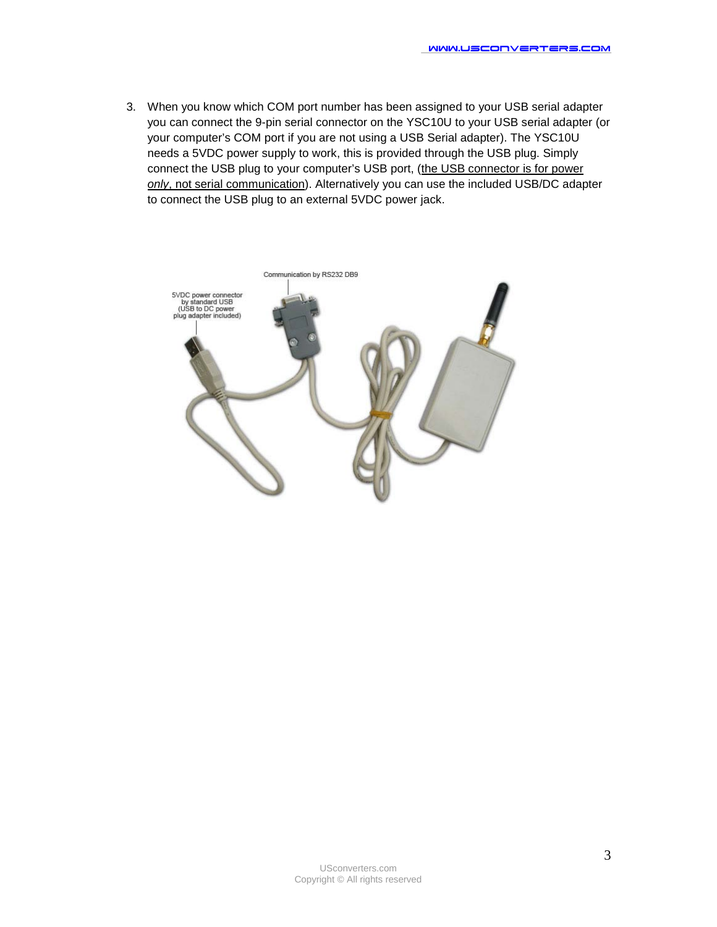3. When you know which COM port number has been assigned to your USB serial adapter you can connect the 9-pin serial connector on the YSC10U to your USB serial adapter (or your computer's COM port if you are not using a USB Serial adapter). The YSC10U needs a 5VDC power supply to work, this is provided through the USB plug. Simply connect the USB plug to your computer's USB port, (the USB connector is for power *only*, not serial communication). Alternatively you can use the included USB/DC adapter to connect the USB plug to an external 5VDC power jack.

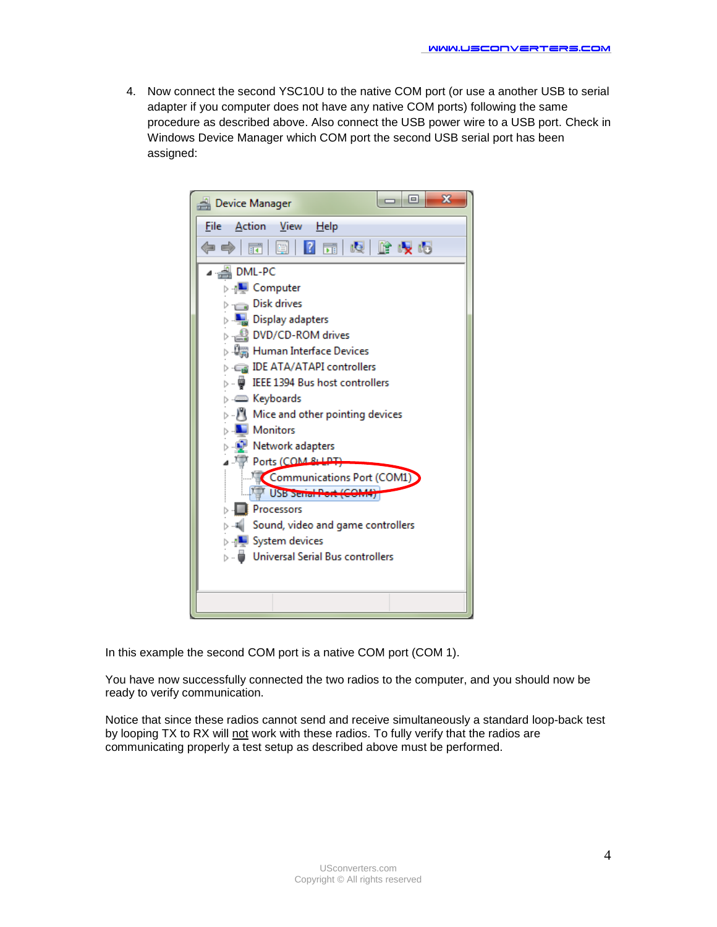4. Now connect the second YSC10U to the native COM port (or use a another USB to serial adapter if you computer does not have any native COM ports) following the same procedure as described above. Also connect the USB power wire to a USB port. Check in Windows Device Manager which COM port the second USB serial port has been assigned:



In this example the second COM port is a native COM port (COM 1).

You have now successfully connected the two radios to the computer, and you should now be ready to verify communication.

Notice that since these radios cannot send and receive simultaneously a standard loop-back test by looping TX to RX will not work with these radios. To fully verify that the radios are communicating properly a test setup as described above must be performed.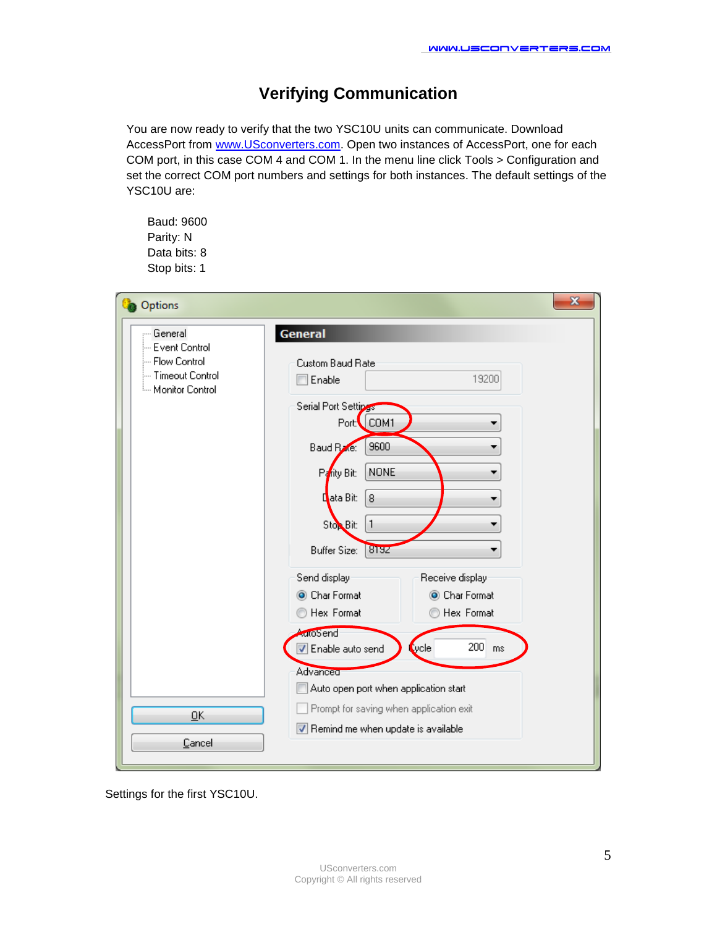# **Verifying Communication**

You are now ready to verify that the two YSC10U units can communicate. Download AccessPort from [www.USconverters.com.](http://www.usconverters.com/) Open two instances of AccessPort, one for each COM port, in this case COM 4 and COM 1. In the menu line click Tools > Configuration and set the correct COM port numbers and settings for both instances. The default settings of the YSC10U are:

Baud: 9600 Parity: N Data bits: 8 Stop bits: 1

| Options                                                                                | $\mathbf{z}$                                                                                                                                                                                                                                                                                                                                                                                                                                                     |
|----------------------------------------------------------------------------------------|------------------------------------------------------------------------------------------------------------------------------------------------------------------------------------------------------------------------------------------------------------------------------------------------------------------------------------------------------------------------------------------------------------------------------------------------------------------|
| - General<br>Event Control<br>--- Flow Control<br>- Timeout Control<br>Monitor Control | <b>General</b><br>Custom Baud Rate<br>19200<br>Enable<br>Serial Port Settings<br>Port: COM1<br>9600<br>Baud R <sub>20</sub> e:<br><b>NONE</b><br>Parity Bit:<br>8<br>Lata Bit:<br>$\mathbf{1}$<br>Stop Bit:<br>8192<br><b>Buffer Size:</b><br>Send display<br>Receive display<br>Char Format<br>Char Format<br>Hex Format<br>Hex Format<br><b>AutoSend</b><br>$200$ ms<br><b>Q</b> ycle<br>Enable auto send<br>Advanced<br>Auto open port when application start |
| <u>Ο</u> Κ<br>Cancel                                                                   | Prompt for saving when application exit<br>Remind me when update is available                                                                                                                                                                                                                                                                                                                                                                                    |

Settings for the first YSC10U.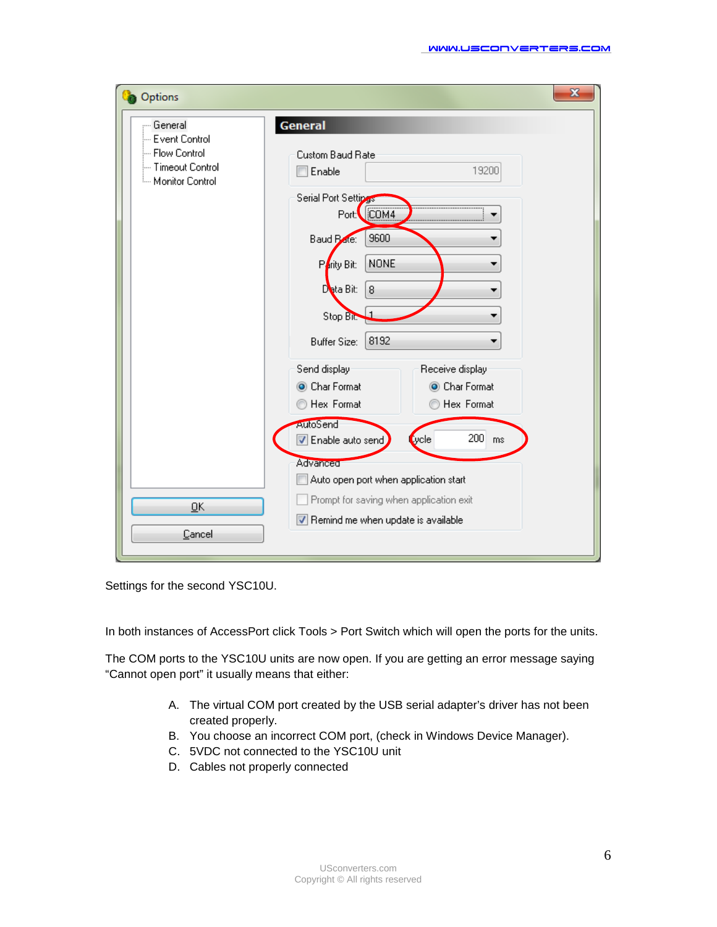| Options                                                                                      | $\mathbf{z}$                                                                                                                                                                                                                                                                                               |
|----------------------------------------------------------------------------------------------|------------------------------------------------------------------------------------------------------------------------------------------------------------------------------------------------------------------------------------------------------------------------------------------------------------|
| <b>General</b><br>-- Event Control<br>- Flow Control<br>- Timeout Control<br>Monitor Control | <b>General</b><br>Custom Baud Rate<br>19200<br>Enable<br>Serial Port Settings<br>Port: COM4<br>9600<br>Baud Pate:<br><b>NONE</b><br>Parity Bit:<br>8<br>Deta Bit:<br>Stop Bit.<br>8192<br><b>Buffer Size:</b><br>Send display<br>Receive display<br>Char Format<br>Char Format<br>Hex Format<br>Hex Format |
| ŪΚ<br>Cancel                                                                                 | AutoSend<br>$200$ ms<br><b>Cycle</b><br><b>V</b> Enable auto send<br>Advanced<br>Auto open port when application start<br>Prompt for saving when application exit<br>Remind me when update is available                                                                                                    |

Settings for the second YSC10U.

In both instances of AccessPort click Tools > Port Switch which will open the ports for the units.

The COM ports to the YSC10U units are now open. If you are getting an error message saying "Cannot open port" it usually means that either:

- A. The virtual COM port created by the USB serial adapter's driver has not been created properly.
- B. You choose an incorrect COM port, (check in Windows Device Manager).
- C. 5VDC not connected to the YSC10U unit
- D. Cables not properly connected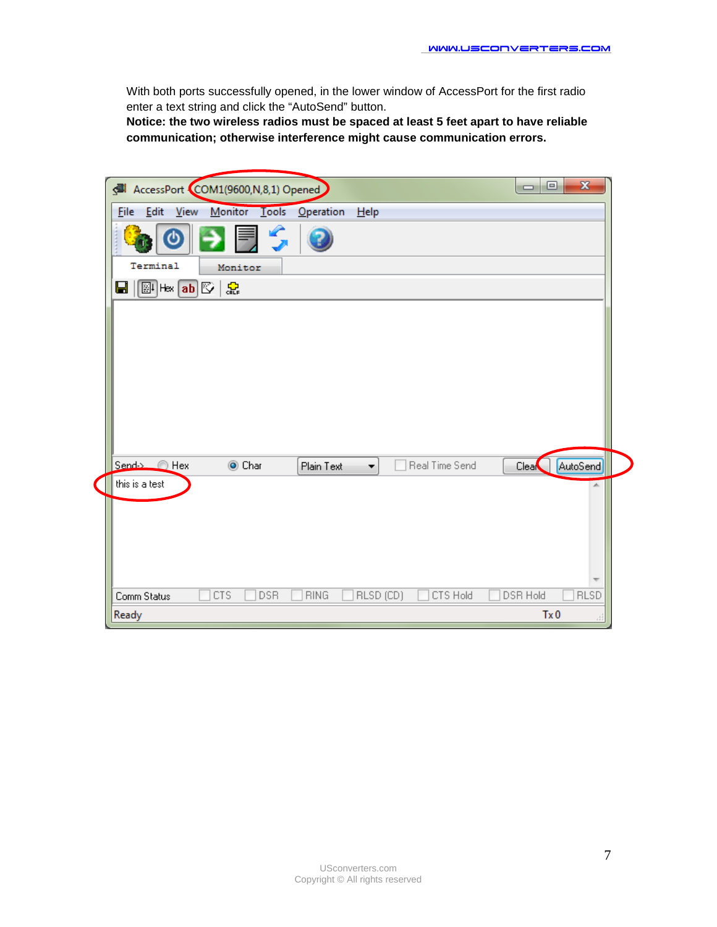With both ports successfully opened, in the lower window of AccessPort for the first radio enter a text string and click the "AutoSend" button.

**Notice: the two wireless radios must be spaced at least 5 feet apart to have reliable communication; otherwise interference might cause communication errors.** 

| AccessPort COM1(9600,N,8,1) Opened                                                        | $\mathbf{x}$<br>▣<br>$\Box$ |
|-------------------------------------------------------------------------------------------|-----------------------------|
| Monitor Tools<br><b>File</b><br>- <u>E</u> dit<br><b>View</b><br><b>Operation</b><br>Help |                             |
| S                                                                                         |                             |
| Terminal<br>Monitor                                                                       |                             |
| 옶<br>$\mathbb{E}$ Hex $\boxed{\mathbf{ab}}$ $\mathbb{E}$<br>Н                             |                             |
|                                                                                           |                             |
|                                                                                           |                             |
|                                                                                           |                             |
|                                                                                           |                             |
|                                                                                           |                             |
|                                                                                           |                             |
|                                                                                           |                             |
|                                                                                           |                             |
| Send-> A Hex<br>Real Time Send<br>O Char<br>Plain Text<br>▼.                              | AutoSend<br>Clear           |
| this is a test                                                                            | A.                          |
|                                                                                           |                             |
|                                                                                           |                             |
|                                                                                           |                             |
|                                                                                           |                             |
|                                                                                           |                             |
| CTS Hold<br><b>CTS</b><br><b>DSR</b><br><b>RING</b><br>RLSD (CD)<br>Comm Status           | DSR Hold<br><b>RLSD</b>     |
| Ready                                                                                     | Tx0<br>лi                   |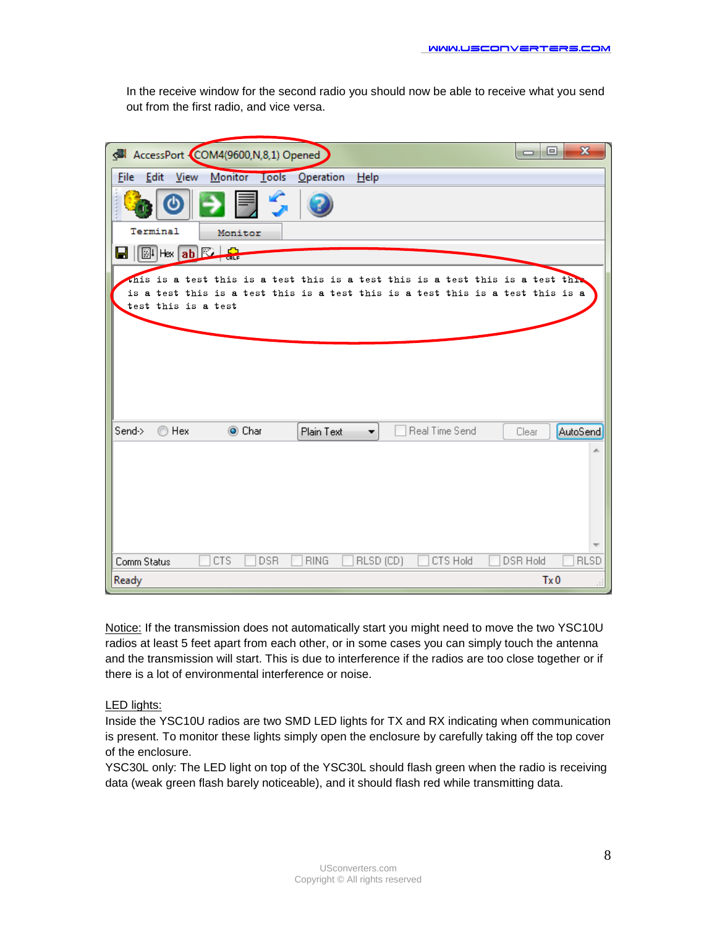In the receive window for the second radio you should now be able to receive what you send out from the first radio, and vice versa.

| AccessPort COM4(9600,N,8,1) Opened                                                                                                                                                        | $\overline{\mathbf{x}}$<br>$\Box$<br>▭ |
|-------------------------------------------------------------------------------------------------------------------------------------------------------------------------------------------|----------------------------------------|
| Monitor Lools<br>Help<br><b>File</b><br>- Edit<br>View<br><b>Operation</b>                                                                                                                |                                        |
|                                                                                                                                                                                           |                                        |
| Terminal<br>Monitor                                                                                                                                                                       |                                        |
| 운<br>$\mathbb{E}[\mathsf{H}\mathsf{B}\mathsf{B}]\mathbb{E}$                                                                                                                               |                                        |
| this is a test this is a test this is a test this is a test this is a test this<br>is a test this is a test this is a test this is a test this is a test this is a<br>test this is a test |                                        |
|                                                                                                                                                                                           |                                        |
|                                                                                                                                                                                           |                                        |
|                                                                                                                                                                                           |                                        |
|                                                                                                                                                                                           |                                        |
|                                                                                                                                                                                           |                                        |
| Real Time Send<br>Send-><br>Hex<br>O Char<br>⋒<br>Plain Text                                                                                                                              | AutoSend<br>Clear                      |
|                                                                                                                                                                                           |                                        |
|                                                                                                                                                                                           |                                        |
|                                                                                                                                                                                           |                                        |
|                                                                                                                                                                                           |                                        |
|                                                                                                                                                                                           |                                        |
|                                                                                                                                                                                           |                                        |
| CTS<br>DSR<br><b>RING</b><br>RLSD (CD)<br>CTS Hold<br>Comm Status                                                                                                                         | <b>RLSD</b><br><b>DSR Hold</b>         |
| Ready                                                                                                                                                                                     | Tx0<br>лi                              |

Notice: If the transmission does not automatically start you might need to move the two YSC10U radios at least 5 feet apart from each other, or in some cases you can simply touch the antenna and the transmission will start. This is due to interference if the radios are too close together or if there is a lot of environmental interference or noise.

#### LED lights:

Inside the YSC10U radios are two SMD LED lights for TX and RX indicating when communication is present. To monitor these lights simply open the enclosure by carefully taking off the top cover of the enclosure.

YSC30L only: The LED light on top of the YSC30L should flash green when the radio is receiving data (weak green flash barely noticeable), and it should flash red while transmitting data.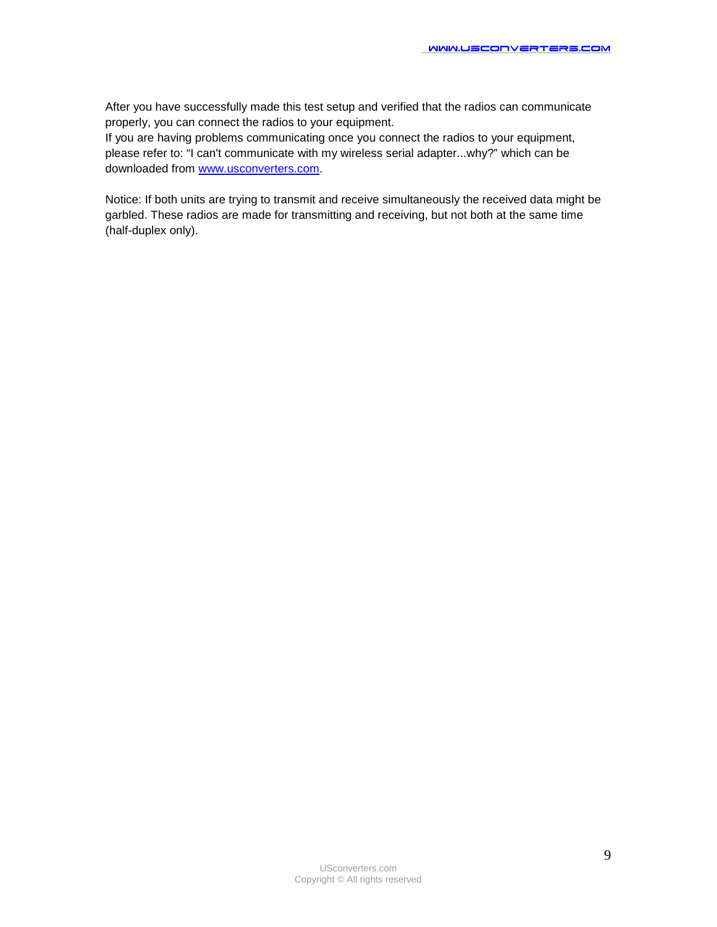After you have successfully made this test setup and verified that the radios can communicate properly, you can connect the radios to your equipment.

If you are having problems communicating once you connect the radios to your equipment, please refer to: "I can't communicate with my wireless serial adapter...why?" which can be downloaded from [www.usconverters.com.](http://www.usconverters.com/)

Notice: If both units are trying to transmit and receive simultaneously the received data might be garbled. These radios are made for transmitting and receiving, but not both at the same time (half-duplex only).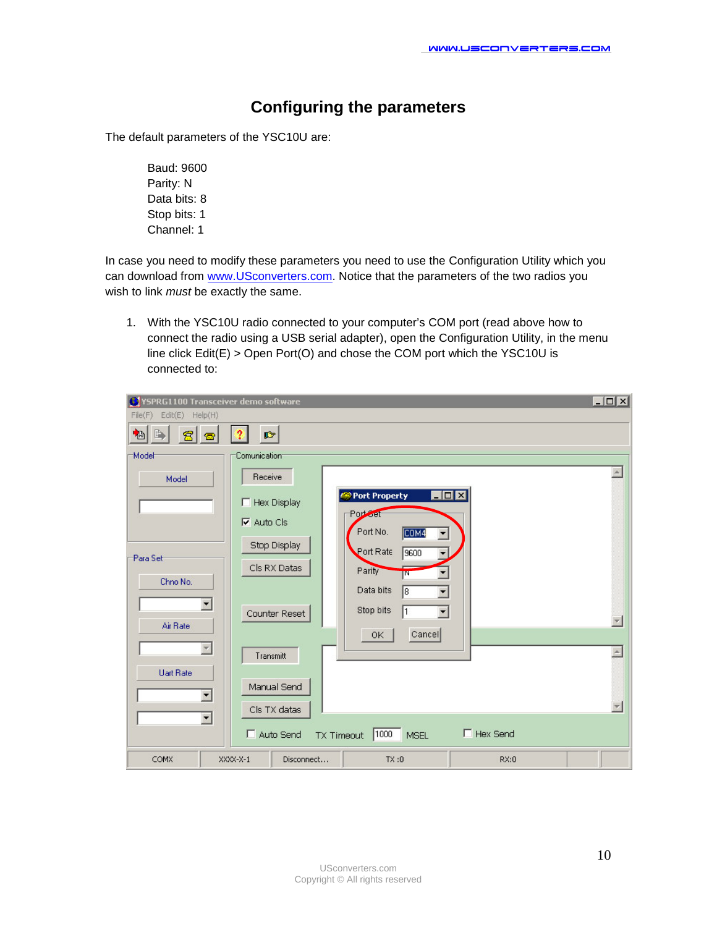# **Configuring the parameters**

The default parameters of the YSC10U are:

Baud: 9600 Parity: N Data bits: 8 Stop bits: 1 Channel: 1

In case you need to modify these parameters you need to use the Configuration Utility which you can download from [www.USconverters.com.](http://www.usconverters.com/) Notice that the parameters of the two radios you wish to link *must* be exactly the same.

1. With the YSC10U radio connected to your computer's COM port (read above how to connect the radio using a USB serial adapter), open the Configuration Utility, in the menu line click Edit(E) > Open Port(O) and chose the COM port which the YSC10U is connected to:

| VSPRG1100 Transceiver demo software |                                                              | $  D $ $\times$ |
|-------------------------------------|--------------------------------------------------------------|-----------------|
| Edit(E) Help(H)<br>File(F)          |                                                              |                 |
| 個<br>常<br>需                         | $\mathbb{D}$                                                 |                 |
| Model                               | Comunication                                                 |                 |
| Model                               | Receive                                                      | $\Delta$        |
|                                     | <b>EDIX</b><br>Port Property<br>$\Box$ Hex Display           |                 |
|                                     | Portfact<br>$\nabla$ Auto Cls<br>Port No.<br>COM4<br>▼       |                 |
| Para Set                            | Stop Display<br>Port Rate<br>9600                            |                 |
| Chno No.                            | Cls RX Datas<br>Parity<br>w                                  |                 |
| $\blacktriangledown$                | Data bits<br>ि                                               |                 |
| Air Rate                            | Stop bits<br>1<br>$\blacksquare$<br>Counter Reset            |                 |
|                                     | Cancel<br>0K                                                 |                 |
|                                     | Transmitt                                                    |                 |
| <b>Uart Rate</b>                    | Manual Send                                                  |                 |
| $\blacktriangledown$                | Cls TX datas                                                 |                 |
|                                     | F Hex Send<br>Auto Send<br>1000<br>TX Timeout<br><b>MSEL</b> |                 |
| COMX                                | TX:0<br>$XXXX-X-1$<br>RX:0<br>Disconnect                     |                 |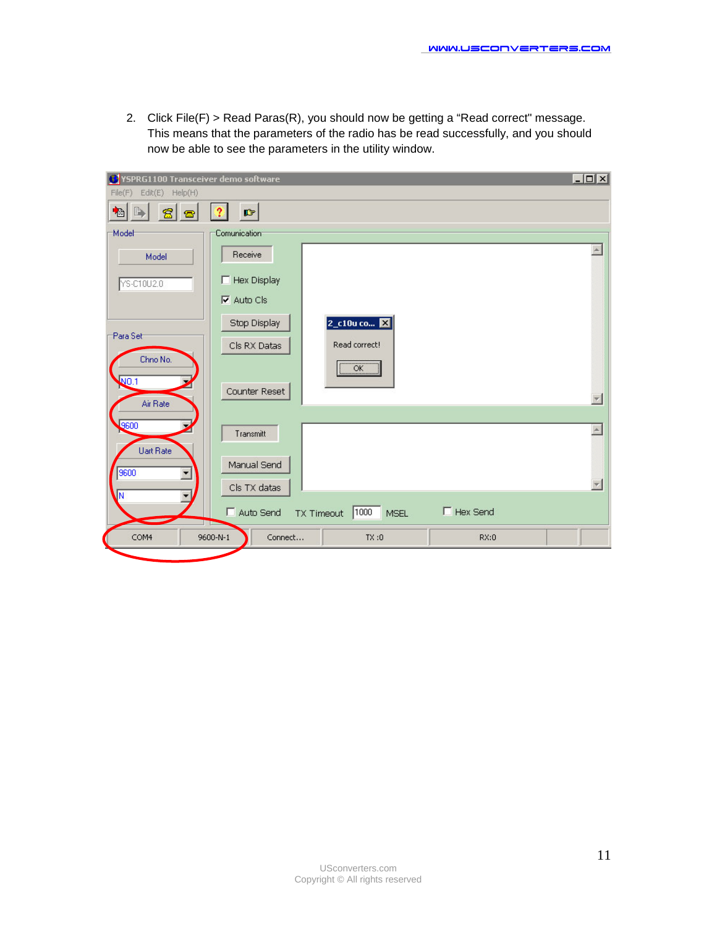2. Click File(F) > Read Paras(R), you should now be getting a "Read correct" message. This means that the parameters of the radio has be read successfully, and you should now be able to see the parameters in the utility window.

| YSPRG1100 Transceiver demo software<br>œ |                                                                   | $ \Box$ $\times$ |
|------------------------------------------|-------------------------------------------------------------------|------------------|
| Edit(E) Help(H)<br>File(F)               |                                                                   |                  |
| B<br>$\mathbf{E}$<br>個<br>魯              | $\boldsymbol{\hat{z}}$<br>吟                                       |                  |
| Model                                    | Comunication                                                      |                  |
| Model                                    | Receive                                                           |                  |
| YS-C10U2.0                               | $\Box$ Hex Display                                                |                  |
|                                          | $\nabla$ Auto Cls                                                 |                  |
|                                          | 2_c10u co <b>X</b><br>Stop Display                                |                  |
| Para Set                                 | Read correct!<br>Cls RX Datas                                     |                  |
| Chno No.<br><b>NO.1</b>                  | $\overline{\begin{array}{ccc} \text{OK} \end{array}}$             |                  |
| Air Rate                                 | Counter Reset                                                     |                  |
| 9600<br>Uart Rate                        | Transmitt                                                         |                  |
| 9600<br>▼                                | Manual Send                                                       |                  |
| ιÑ                                       | Cls TX datas                                                      |                  |
|                                          | $\Box$ Hex Send<br>Auto Send<br>1000<br>TX Timeout<br><b>MSEL</b> |                  |
| COM4                                     | Connect<br>RX:0<br>9600-N-1<br>TX:0                               |                  |
|                                          |                                                                   |                  |